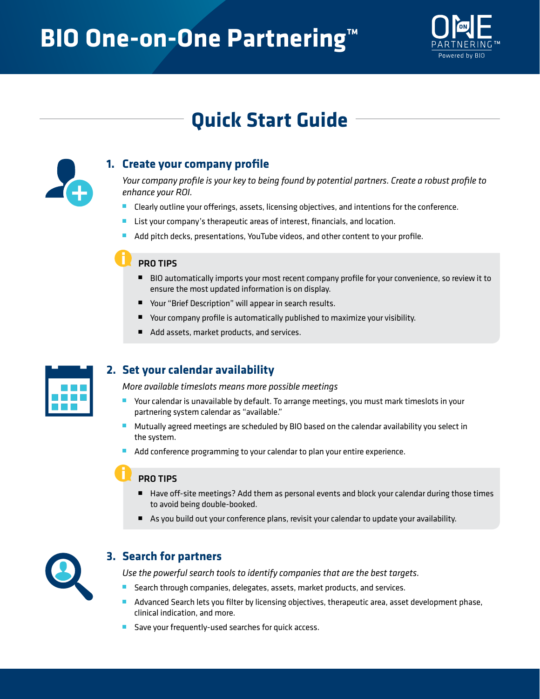# **BIO One-on-One Partnering™**



## **Quick Start Guide**



#### **1. Create your company profile**

*Your company profile is your key to being found by potential partners. Create a robust profile to enhance your ROI.*

- Clearly outline your offerings, assets, licensing objectives, and intentions for the conference.
- List your company's therapeutic areas of interest, financials, and location.
- Add pitch decks, presentations, YouTube videos, and other content to your profile.

#### PRO TIPS

- BIO automatically imports your most recent company profile for your convenience, so review it to ensure the most updated information is on display.
- Your "Brief Description" will appear in search results.
- Your company profile is automatically published to maximize your visibility.
- Add assets, market products, and services.



#### **2. Set your calendar availability**

*More available timeslots means more possible meetings*

- Your calendar is unavailable by default. To arrange meetings, you must mark timeslots in your partnering system calendar as "available."
- Mutually agreed meetings are scheduled by BIO based on the calendar availability you select in the system.
- Add conference programming to your calendar to plan your entire experience.

#### PRO TIPS

- Have off-site meetings? Add them as personal events and block your calendar during those times to avoid being double-booked.
- As you build out your conference plans, revisit your calendar to update your availability.



#### **3. Search for partners**

*Use the powerful search tools to identify companies that are the best targets.*

- Search through companies, delegates, assets, market products, and services.
- Advanced Search lets you filter by licensing objectives, therapeutic area, asset development phase, clinical indication, and more.
- Save your frequently-used searches for quick access.